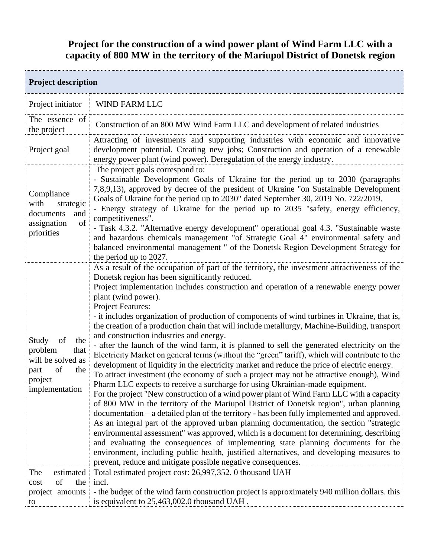## **Project for the construction of a wind power plant of Wind Farm LLC with a capacity of 800 MW in the territory of the Mariupol District of Donetsk region**

| <b>Project description</b>                                                                                   |                                                                                                                                                                                                                                                                                                                                                                                                                                                                                                                                                                                                                                                                                                                                                                                                                                                                                                                                                                                                                                                                                                                                                                                                                                                                                                                                                                                                                                                                                                                                                                                                                                                                                                                                         |  |
|--------------------------------------------------------------------------------------------------------------|-----------------------------------------------------------------------------------------------------------------------------------------------------------------------------------------------------------------------------------------------------------------------------------------------------------------------------------------------------------------------------------------------------------------------------------------------------------------------------------------------------------------------------------------------------------------------------------------------------------------------------------------------------------------------------------------------------------------------------------------------------------------------------------------------------------------------------------------------------------------------------------------------------------------------------------------------------------------------------------------------------------------------------------------------------------------------------------------------------------------------------------------------------------------------------------------------------------------------------------------------------------------------------------------------------------------------------------------------------------------------------------------------------------------------------------------------------------------------------------------------------------------------------------------------------------------------------------------------------------------------------------------------------------------------------------------------------------------------------------------|--|
| Project initiator                                                                                            | WIND FARM LLC                                                                                                                                                                                                                                                                                                                                                                                                                                                                                                                                                                                                                                                                                                                                                                                                                                                                                                                                                                                                                                                                                                                                                                                                                                                                                                                                                                                                                                                                                                                                                                                                                                                                                                                           |  |
| The essence of<br>the project                                                                                | Construction of an 800 MW Wind Farm LLC and development of related industries                                                                                                                                                                                                                                                                                                                                                                                                                                                                                                                                                                                                                                                                                                                                                                                                                                                                                                                                                                                                                                                                                                                                                                                                                                                                                                                                                                                                                                                                                                                                                                                                                                                           |  |
| Project goal                                                                                                 | Attracting of investments and supporting industries with economic and innovative<br>development potential. Creating new jobs; Construction and operation of a renewable<br>energy power plant (wind power). Deregulation of the energy industry.                                                                                                                                                                                                                                                                                                                                                                                                                                                                                                                                                                                                                                                                                                                                                                                                                                                                                                                                                                                                                                                                                                                                                                                                                                                                                                                                                                                                                                                                                        |  |
| Compliance<br>with<br>strategic<br>documents<br>and<br>of<br>assignation<br>priorities                       | The project goals correspond to:<br>- Sustainable Development Goals of Ukraine for the period up to 2030 (paragraphs<br>7,8,9,13), approved by decree of the president of Ukraine "on Sustainable Development<br>Goals of Ukraine for the period up to 2030" dated September 30, 2019 No. 722/2019.<br>Energy strategy of Ukraine for the period up to 2035 "safety, energy efficiency,<br>competitiveness".<br>- Task 4.3.2. "Alternative energy development" operational goal 4.3. "Sustainable waste<br>and hazardous chemicals management "of Strategic Goal 4" environmental safety and<br>balanced environmental management " of the Donetsk Region Development Strategy for<br>the period up to 2027.                                                                                                                                                                                                                                                                                                                                                                                                                                                                                                                                                                                                                                                                                                                                                                                                                                                                                                                                                                                                                            |  |
| of<br>the<br>Study<br>problem<br>that<br>will be solved as<br>of<br>the<br>part<br>project<br>implementation | As a result of the occupation of part of the territory, the investment attractiveness of the<br>Donetsk region has been significantly reduced.<br>Project implementation includes construction and operation of a renewable energy power<br>plant (wind power).<br>Project Features:<br>- it includes organization of production of components of wind turbines in Ukraine, that is,<br>the creation of a production chain that will include metallurgy, Machine-Building, transport<br>and construction industries and energy.<br>- after the launch of the wind farm, it is planned to sell the generated electricity on the<br>Electricity Market on general terms (without the "green" tariff), which will contribute to the<br>development of liquidity in the electricity market and reduce the price of electric energy.<br>To attract investment (the economy of such a project may not be attractive enough), Wind<br>Pharm LLC expects to receive a surcharge for using Ukrainian-made equipment.<br>For the project "New construction of a wind power plant of Wind Farm LLC with a capacity<br>of 800 MW in the territory of the Mariupol District of Donetsk region", urban planning<br>documentation – a detailed plan of the territory - has been fully implemented and approved.<br>As an integral part of the approved urban planning documentation, the section "strategic<br>environmental assessment" was approved, which is a document for determining, describing<br>and evaluating the consequences of implementing state planning documents for the<br>environment, including public health, justified alternatives, and developing measures to<br>prevent, reduce and mitigate possible negative consequences. |  |
| The<br>estimated<br>of<br>the<br>cost<br>to                                                                  | Total estimated project cost: 26,997,352. 0 thousand UAH<br>incl.<br>project amounts : - the budget of the wind farm construction project is approximately 940 million dollars, this<br>is equivalent to 25,463,002.0 thousand UAH.                                                                                                                                                                                                                                                                                                                                                                                                                                                                                                                                                                                                                                                                                                                                                                                                                                                                                                                                                                                                                                                                                                                                                                                                                                                                                                                                                                                                                                                                                                     |  |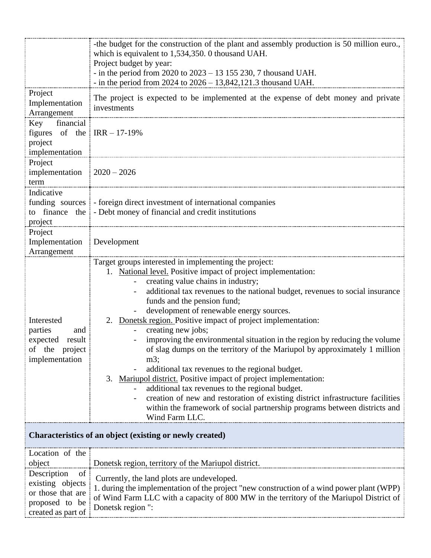|                                                                                                    | -the budget for the construction of the plant and assembly production is 50 million euro.<br>which is equivalent to 1,534,350. 0 thousand UAH.<br>Project budget by year:                                                                                                                                                                                                                                                                                                                                                                                                                                                                                                                                                                                                                                                                                                                                                                           |
|----------------------------------------------------------------------------------------------------|-----------------------------------------------------------------------------------------------------------------------------------------------------------------------------------------------------------------------------------------------------------------------------------------------------------------------------------------------------------------------------------------------------------------------------------------------------------------------------------------------------------------------------------------------------------------------------------------------------------------------------------------------------------------------------------------------------------------------------------------------------------------------------------------------------------------------------------------------------------------------------------------------------------------------------------------------------|
|                                                                                                    | - in the period from 2020 to $2023 - 13155230$ , 7 thousand UAH.<br>- in the period from $2024$ to $2026 - 13,842,121.3$ thousand UAH.                                                                                                                                                                                                                                                                                                                                                                                                                                                                                                                                                                                                                                                                                                                                                                                                              |
| Project<br>Implementation<br>Arrangement                                                           | The project is expected to be implemented at the expense of debt money and private<br>investments                                                                                                                                                                                                                                                                                                                                                                                                                                                                                                                                                                                                                                                                                                                                                                                                                                                   |
| Key<br>financial<br>figures of the $\text{IRR} - 17 - 19\%$<br>project<br>implementation           |                                                                                                                                                                                                                                                                                                                                                                                                                                                                                                                                                                                                                                                                                                                                                                                                                                                                                                                                                     |
| Project<br>implementation $\frac{1}{2020} - 2026$<br>term                                          |                                                                                                                                                                                                                                                                                                                                                                                                                                                                                                                                                                                                                                                                                                                                                                                                                                                                                                                                                     |
| Indicative<br>project                                                                              | funding sources : - foreign direct investment of international companies<br>to finance the - Debt money of financial and credit institutions                                                                                                                                                                                                                                                                                                                                                                                                                                                                                                                                                                                                                                                                                                                                                                                                        |
| Project<br>Implementation Development<br>Arrangement                                               |                                                                                                                                                                                                                                                                                                                                                                                                                                                                                                                                                                                                                                                                                                                                                                                                                                                                                                                                                     |
| Interested<br>parties<br>and<br>expected<br>result<br>of the<br>project<br>implementation          | Target groups interested in implementing the project:<br>1. National level. Positive impact of project implementation:<br>creating value chains in industry;<br>additional tax revenues to the national budget, revenues to social insurance<br>funds and the pension fund;<br>development of renewable energy sources.<br>Donetsk region. Positive impact of project implementation:<br>2.<br>creating new jobs;<br>improving the environmental situation in the region by reducing the volume<br>of slag dumps on the territory of the Mariupol by approximately 1 million<br>$m3$ ;<br>additional tax revenues to the regional budget.<br>Mariupol district. Positive impact of project implementation:<br>3.<br>additional tax revenues to the regional budget.<br>creation of new and restoration of existing district infrastructure facilities<br>within the framework of social partnership programs between districts and<br>Wind Farm LLC |
| Characteristics of an object (existing or newly created)                                           |                                                                                                                                                                                                                                                                                                                                                                                                                                                                                                                                                                                                                                                                                                                                                                                                                                                                                                                                                     |
| Location of the<br>object                                                                          | Donetsk region, territory of the Mariupol district.                                                                                                                                                                                                                                                                                                                                                                                                                                                                                                                                                                                                                                                                                                                                                                                                                                                                                                 |
| Description<br>of<br>existing objects<br>or those that are<br>proposed to be<br>created as part of | Currently, the land plots are undeveloped.<br>1. during the implementation of the project "new construction of a wind power plant (WPP)<br>of Wind Farm LLC with a capacity of 800 MW in the territory of the Mariupol District of<br>Donetsk region ":                                                                                                                                                                                                                                                                                                                                                                                                                                                                                                                                                                                                                                                                                             |